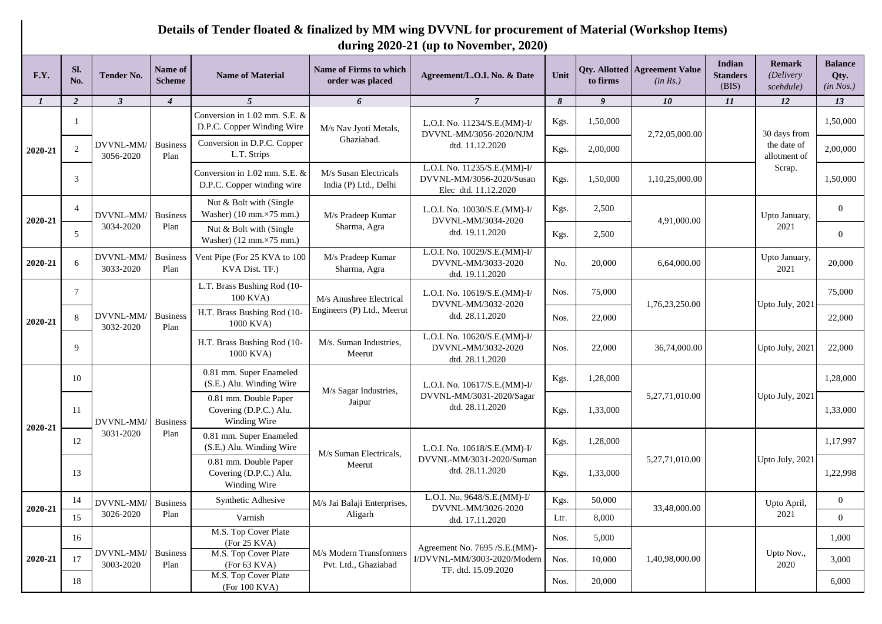## **Details of Tender floated & finalized by MM wing DVVNL for procurement of Material (Workshop Items) during 2020-21 (up to November, 2020)**

| F.Y.         | SI.<br>No.     | <b>Tender No.</b>      | Name of<br><b>Scheme</b> | <b>Name of Material</b>                                                   | <b>Name of Firms to which</b><br>order was placed     | Agreement/L.O.I. No. & Date                                                      | Unit  | to firms | <b>Qty. Allotted   Agreement Value</b><br>(in Rs.) | <b>Indian</b><br><b>Standers</b><br>(BIS) | <b>Remark</b><br>(Delivery<br>scehdule) | <b>Balance</b><br>Qty.<br>(in Nos.) |
|--------------|----------------|------------------------|--------------------------|---------------------------------------------------------------------------|-------------------------------------------------------|----------------------------------------------------------------------------------|-------|----------|----------------------------------------------------|-------------------------------------------|-----------------------------------------|-------------------------------------|
| $\mathbf{I}$ | $\overline{2}$ | $\mathbf{3}$           | $\overline{4}$           | 5                                                                         | 6                                                     | $\overline{7}$                                                                   | 8     | 9        | 10                                                 | 11                                        | 12                                      | 13                                  |
|              |                |                        |                          | Conversion in 1.02 mm. S.E. &<br>D.P.C. Copper Winding Wire               | M/s Nav Jyoti Metals,<br>Ghaziabad.                   | L.O.I. No. 11234/S.E.(MM)-I/<br>DVVNL-MM/3056-2020/NJM                           | Kgs.  | 1,50,000 | 2,72,05,000.00                                     |                                           | 30 days from                            | 1,50,000                            |
| 2020-21      | 2              | DVVNL-MM/<br>3056-2020 | <b>Business</b><br>Plan  | Conversion in D.P.C. Copper<br>L.T. Strips                                |                                                       | dtd. 11.12.2020                                                                  | Kgs.  | 2,00,000 |                                                    |                                           | the date of<br>allotment of             | 2,00,000                            |
|              | 3              |                        |                          | Conversion in 1.02 mm. S.E. &<br>D.P.C. Copper winding wire               | M/s Susan Electricals<br>India (P) Ltd., Delhi        | L.O.I. No. 11235/S.E.(MM)-I/<br>DVVNL-MM/3056-2020/Susan<br>Elec dtd. 11.12.2020 | Kgs.  | 1,50,000 | 1,10,25,000.00                                     |                                           | Scrap.                                  | 1,50,000                            |
| 2020-21      | 4              | DVVNL-MM/              | <b>Business</b>          | Nut & Bolt with (Single<br>Washer) (10 mm.×75 mm.)                        | M/s Pradeep Kumar                                     | L.O.I. No. 10030/S.E.(MM)-I/<br>DVVNL-MM/3034-2020                               | Kgs.  | 2,500    | 4,91,000.00                                        |                                           | Upto January,                           | $\theta$                            |
|              | 5              | 3034-2020              | Plan                     | Nut & Bolt with (Single<br>Washer) $(12 \text{ mm} \times 75 \text{ mm})$ | Sharma, Agra<br>dtd. 19.11.2020                       | Kgs.                                                                             | 2,500 |          | 2021                                               | $\overline{0}$                            |                                         |                                     |
| 2020-21      | 6              | DVVNL-MM/<br>3033-2020 | <b>Business</b><br>Plan  | Vent Pipe (For 25 KVA to 100<br>KVA Dist. TF.)                            | M/s Pradeep Kumar<br>Sharma, Agra                     | L.O.I. No. 10029/S.E.(MM)-I/<br>DVVNL-MM/3033-2020<br>dtd. 19.11.2020            | No.   | 20,000   | 6,64,000.00                                        |                                           | Upto January,<br>2021                   | 20,000                              |
|              | $\tau$         |                        |                          | L.T. Brass Bushing Rod (10-<br>100 KVA)                                   | M/s Anushree Electrical<br>Engineers (P) Ltd., Meerut | L.O.I. No. 10619/S.E. (MM)-I/<br>DVVNL-MM/3032-2020<br>dtd. 28.11.2020           | Nos.  | 75,000   | 1,76,23,250.00                                     |                                           | Upto July, 2021                         | 75,000                              |
| 2020-21      | 8              | DVVNL-MM/<br>3032-2020 | <b>Business</b><br>Plan  | H.T. Brass Bushing Rod (10-<br>1000 KVA)                                  |                                                       |                                                                                  | Nos.  | 22,000   |                                                    |                                           |                                         | 22,000                              |
|              | 9              |                        |                          | H.T. Brass Bushing Rod (10-<br>1000 KVA)                                  | M/s. Suman Industries,<br>Meerut                      | L.O.I. No. 10620/S.E.(MM)-I/<br>DVVNL-MM/3032-2020<br>dtd. 28.11.2020            | Nos.  | 22,000   | 36,74,000.00                                       |                                           | Upto July, 2021                         | 22,000                              |
|              | 10             | DVVNL-MM/<br>3031-2020 |                          | 0.81 mm. Super Enameled<br>(S.E.) Alu. Winding Wire                       | M/s Sagar Industries,<br>Jaipur                       | L.O.I. No. 10617/S.E.(MM)-I/<br>DVVNL-MM/3031-2020/Sagar<br>dtd. 28.11.2020      | Kgs.  | 1,28,000 | 5,27,71,010.00                                     |                                           |                                         | 1,28,000                            |
| 2020-21      | 11             |                        | <b>Business</b>          | 0.81 mm. Double Paper<br>Covering (D.P.C.) Alu.<br>Winding Wire           |                                                       |                                                                                  | Kgs.  | 1,33,000 |                                                    |                                           | Upto July, 2021                         | 1,33,000                            |
|              | 12             |                        | Plan                     | 0.81 mm. Super Enameled<br>(S.E.) Alu. Winding Wire                       |                                                       | L.O.I. No. 10618/S.E.(MM)-I/<br>DVVNL-MM/3031-2020/Suman<br>dtd. 28.11.2020      | Kgs.  | 1,28,000 |                                                    |                                           |                                         | 1,17,997                            |
|              | 13             |                        |                          | 0.81 mm. Double Paper<br>Covering (D.P.C.) Alu.<br>Winding Wire           | M/s Suman Electricals,<br>Meerut                      |                                                                                  | Kgs.  | 1,33,000 | 5,27,71,010.00                                     |                                           | Upto July, 2021                         | 1,22,998                            |
|              | 14             | DVVNL-MM/              | <b>Business</b>          | Synthetic Adhesive                                                        | M/s Jai Balaji Enterprises,                           | L.O.I. No. 9648/S.E.(MM)-I/                                                      | Kgs.  | 50,000   |                                                    |                                           | Upto April,                             | $\overline{0}$                      |
| 2020-21      | 15             | 3026-2020              | Plan                     | Varnish                                                                   | Aligarh                                               | DVVNL-MM/3026-2020<br>dtd. 17.11.2020                                            | Ltr.  | 8,000    | 33,48,000.00                                       |                                           | 2021                                    | $\Omega$                            |
|              | 16             |                        |                          | M.S. Top Cover Plate<br>(For 25 KVA)                                      |                                                       |                                                                                  | Nos.  | 5,000    |                                                    |                                           |                                         | 1,000                               |
| 2020-21      | 17             | DVVNL-MM/              | <b>Business</b>          | M.S. Top Cover Plate                                                      | M/s Modern Transformers                               | Agreement No. 7695 /S.E.(MM)-<br>I/DVVNL-MM/3003-2020/Modern                     | Nos.  | 10,000   | 1,40,98,000.00                                     |                                           | Upto Nov.,                              | 3,000                               |
|              | 18             | 3003-2020              | Plan                     | (For 63 KVA)<br>M.S. Top Cover Plate                                      | Pvt. Ltd., Ghaziabad                                  | TF. dtd. 15.09.2020                                                              | Nos.  | 20,000   |                                                    |                                           | 2020                                    | 6,000                               |
|              |                |                        |                          | (For 100 KVA)                                                             |                                                       |                                                                                  |       |          |                                                    |                                           |                                         |                                     |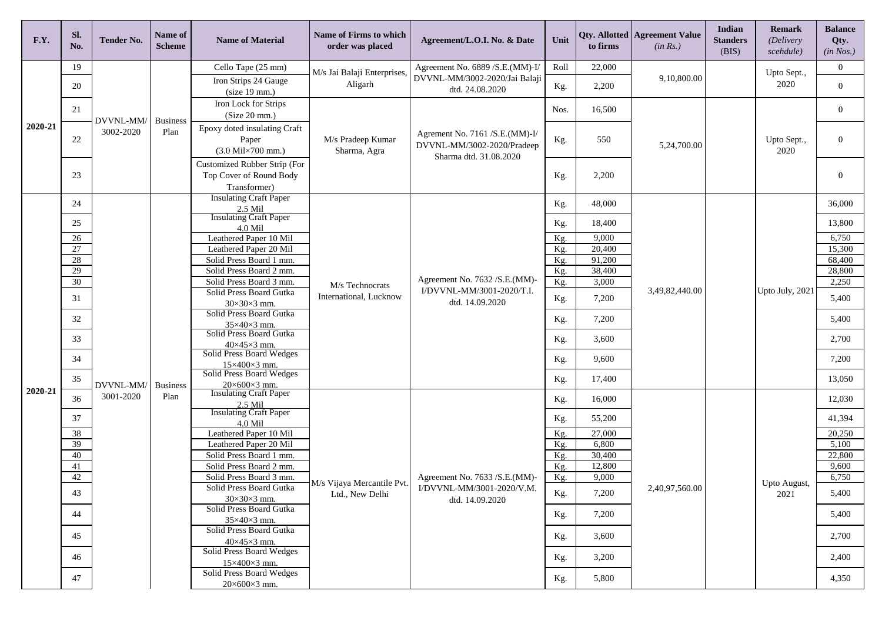| F.Y.    | SI.<br>No.      | <b>Tender No.</b>      | <b>Name of</b><br><b>Scheme</b> | <b>Name of Material</b>                                                           | Name of Firms to which<br>order was placed | Agreement/L.O.I. No. & Date                                                            | Unit       | to firms           | <b>Qty. Allotted   Agreement Value</b><br>(in Rs.) | Indian<br><b>Standers</b><br>(BIS) | Remark<br>(Delivery<br>scehdule) | <b>Balance</b><br>Qty.<br>(in Nos.) |
|---------|-----------------|------------------------|---------------------------------|-----------------------------------------------------------------------------------|--------------------------------------------|----------------------------------------------------------------------------------------|------------|--------------------|----------------------------------------------------|------------------------------------|----------------------------------|-------------------------------------|
|         | 19              |                        |                                 | Cello Tape (25 mm)                                                                | M/s Jai Balaji Enterprises,                | Agreement No. 6889 / S.E. (MM)-I/<br>DVVNL-MM/3002-2020/Jai Balaji<br>dtd. 24.08.2020  | Roll       | 22,000             |                                                    |                                    | Upto Sept.,<br>2020              | $\overline{0}$                      |
|         | 20              |                        |                                 | Iron Strips 24 Gauge<br>(size 19 mm.)                                             | Aligarh                                    |                                                                                        | Kg.        | 2,200              | 9,10,800.00                                        |                                    |                                  | $\overline{0}$                      |
|         | 21              | DVVNL-MM/              | <b>Business</b>                 | Iron Lock for Strips<br>(Size 20 mm.)                                             |                                            |                                                                                        | Nos.       | 16,500             |                                                    |                                    |                                  | $\mathbf{0}$                        |
| 2020-21 | 22              | 3002-2020              | Plan                            | Epoxy doted insulating Craft<br>Paper<br>$(3.0 \text{ Mil}\times700 \text{ mm.})$ | M/s Pradeep Kumar<br>Sharma, Agra          | Agrement No. 7161 /S.E.(MM)-I/<br>DVVNL-MM/3002-2020/Pradeep<br>Sharma dtd. 31.08.2020 | Kg.        | 550<br>5,24,700.00 |                                                    | Upto Sept.,<br>2020                | $\overline{0}$                   |                                     |
|         | 23              |                        |                                 | Customized Rubber Strip (For<br>Top Cover of Round Body<br>Transformer)           |                                            |                                                                                        | Kg.        | 2,200              |                                                    |                                    |                                  | $\theta$                            |
|         | 24              |                        |                                 | <b>Insulating Craft Paper</b><br>2.5 Mil                                          |                                            |                                                                                        | Kg.        | 48,000             |                                                    |                                    |                                  | 36,000                              |
|         | 25              |                        |                                 | <b>Insulating Craft Paper</b>                                                     |                                            |                                                                                        | Kg.        | 18,400             |                                                    |                                    |                                  | 13,800                              |
|         | 26              |                        |                                 | $4.0$ Mil<br>Leathered Paper 10 Mil                                               | M/s Technocrats<br>International, Lucknow  |                                                                                        | Kg.        | 9,000              | 3,49,82,440.00                                     |                                    |                                  | 6,750                               |
|         | $\overline{27}$ |                        |                                 | Leathered Paper 20 Mil                                                            |                                            |                                                                                        | Kg.        | 20,400             |                                                    |                                    |                                  | 15,300                              |
|         | 28              |                        |                                 | Solid Press Board 1 mm.                                                           |                                            |                                                                                        | Kg.        | 91,200             |                                                    |                                    |                                  | 68,400                              |
|         | 29              |                        |                                 | Solid Press Board 2 mm.                                                           |                                            | Agreement No. 7632 / S.E. (MM)-<br>I/DVVNL-MM/3001-2020/T.I.<br>dtd. 14.09.2020        | Kg.        | 38,400             |                                                    |                                    |                                  | 28,800                              |
|         | 30              | DVVNL-MM/<br>3001-2020 |                                 | Solid Press Board 3 mm.<br>Solid Press Board Gutka                                |                                            |                                                                                        | Kg.        | 3,000              |                                                    |                                    | Upto July, 2021                  | 2,250                               |
|         | 31              |                        |                                 | 30×30×3 mm.                                                                       |                                            |                                                                                        | Kg.        | 7,200              |                                                    |                                    |                                  | 5,400                               |
|         | 32              |                        |                                 | Solid Press Board Gutka<br>$35\times40\times3$ mm.                                |                                            |                                                                                        | Kg.        | 7,200              |                                                    |                                    |                                  | 5,400                               |
|         | 33              |                        |                                 | Solid Press Board Gutka<br>$40\times45\times3$ mm.                                |                                            |                                                                                        | Kg.        | 3,600              |                                                    |                                    |                                  | 2,700                               |
|         | 34              |                        |                                 | Solid Press Board Wedges                                                          |                                            |                                                                                        | Kg.        | 9,600              |                                                    |                                    |                                  | 7,200                               |
|         | 35              |                        | <b>Business</b><br>Plan         | $15\times400\times3$ mm.<br>Solid Press Board Wedges                              |                                            |                                                                                        | Kg.        | 17,400             |                                                    |                                    |                                  | 13,050                              |
| 2020-21 | 36              |                        |                                 | $20 \times 600 \times 3$ mm.<br><b>Insulating Craft Paper</b>                     |                                            |                                                                                        | Kg.        | 16,000             |                                                    |                                    |                                  | 12,030                              |
|         | 37              |                        |                                 | $2.5$ Mil<br><b>Insulating Craft Paper</b>                                        |                                            |                                                                                        |            | 55,200             |                                                    |                                    |                                  | 41,394                              |
|         | 38              |                        |                                 | 4.0 Mil<br>Leathered Paper 10 Mil                                                 |                                            |                                                                                        | Kg.<br>Kg. | 27,000             |                                                    |                                    |                                  | 20,250                              |
|         | 39              |                        |                                 | Leathered Paper 20 Mil                                                            |                                            |                                                                                        | Kg.        | 6,800              |                                                    |                                    |                                  | 5,100                               |
|         | 40              |                        |                                 | Solid Press Board 1 mm.                                                           |                                            |                                                                                        | Kg.        | 30,400             |                                                    |                                    |                                  | 22,800                              |
|         | 41              |                        |                                 | Solid Press Board 2 mm.                                                           |                                            |                                                                                        | Kg.        | 12,800             |                                                    |                                    |                                  | 9,600                               |
|         | 42              |                        |                                 | Solid Press Board 3 mm.                                                           | M/s Vijaya Mercantile Pvt.                 | Agreement No. 7633 / S.E. (MM)-                                                        | Kg.        | 9,000              |                                                    |                                    |                                  | 6,750                               |
|         | 43              |                        |                                 | Solid Press Board Gutka                                                           | Ltd., New Delhi                            | I/DVVNL-MM/3001-2020/V.M.                                                              | Kg.        | 7,200              | 2,40,97,560.00                                     |                                    | Upto August,<br>2021             | 5,400                               |
|         | 44              |                        |                                 | $30\times30\times3$ mm.<br>Solid Press Board Gutka                                |                                            | dtd. 14.09.2020                                                                        | Kg.        | 7,200              |                                                    |                                    |                                  | 5,400                               |
|         |                 |                        |                                 | $35\times40\times3$ mm.<br>Solid Press Board Gutka                                |                                            |                                                                                        |            |                    |                                                    |                                    |                                  |                                     |
|         | 45              |                        |                                 | $40\times45\times3$ mm.<br>Solid Press Board Wedges                               |                                            |                                                                                        | Kg.        | 3,600              |                                                    |                                    |                                  | 2,700                               |
|         | 46              |                        |                                 | 15×400×3 mm.                                                                      |                                            |                                                                                        | Kg.        | 3,200              |                                                    |                                    |                                  | 2,400                               |
|         | 47              |                        |                                 | Solid Press Board Wedges<br>$20 \times 600 \times 3$ mm.                          |                                            |                                                                                        | Kg.        | 5,800              |                                                    |                                    |                                  | 4,350                               |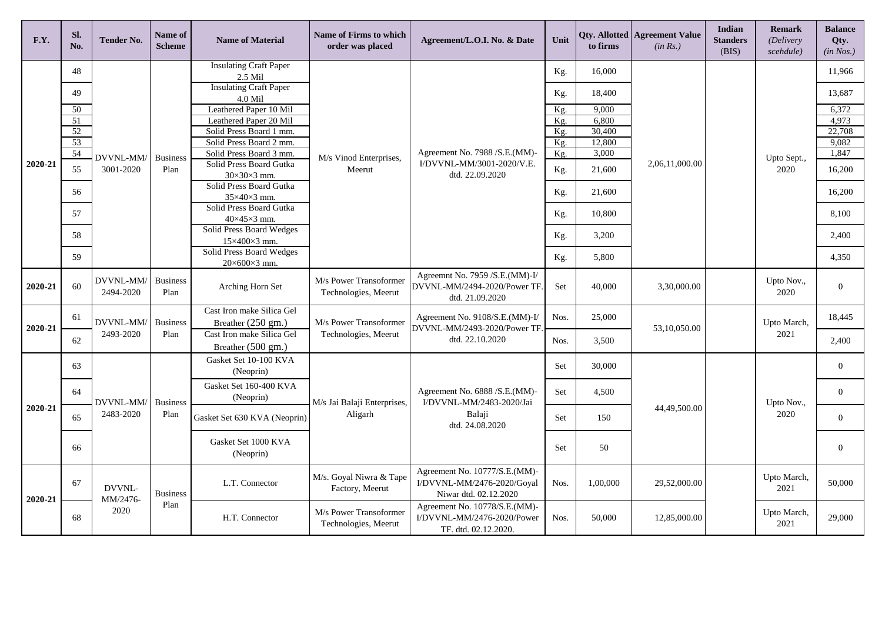| F.Y.    | Sl.<br>No.            | Tender No.                                | Name of<br><b>Scheme</b> | <b>Name of Material</b>                              | <b>Name of Firms to which</b><br>order was placed | Agreement/L.O.I. No. & Date                                                          | Unit       | to firms        | Qty. Allotted   Agreement Value<br>(in Rs.) | <b>Indian</b><br><b>Standers</b><br>(BIS) | <b>Remark</b><br>(Delivery<br>scehdule) | <b>Balance</b><br>Qty.<br>(in Nos.) |
|---------|-----------------------|-------------------------------------------|--------------------------|------------------------------------------------------|---------------------------------------------------|--------------------------------------------------------------------------------------|------------|-----------------|---------------------------------------------|-------------------------------------------|-----------------------------------------|-------------------------------------|
|         | 48                    |                                           |                          | <b>Insulating Craft Paper</b><br>2.5 Mil             |                                                   |                                                                                      | Kg.        | 16,000          |                                             |                                           |                                         | 11,966                              |
|         | 49                    |                                           |                          | <b>Insulating Craft Paper</b><br>$4.0$ Mil           |                                                   |                                                                                      | Kg.        | 18,400          |                                             |                                           |                                         | 13,687                              |
|         | 50                    |                                           |                          | Leathered Paper 10 Mil                               |                                                   |                                                                                      | Kg.        | 9.000           |                                             |                                           |                                         | 6,372                               |
|         | $\overline{51}$<br>52 |                                           |                          | Leathered Paper 20 Mil<br>Solid Press Board 1 mm.    |                                                   |                                                                                      | Kg.        | 6,800<br>30,400 |                                             |                                           |                                         | 4,973<br>22,708                     |
|         | 53                    |                                           |                          | Solid Press Board 2 mm.                              |                                                   |                                                                                      | Kg.<br>Kg. | 12,800          |                                             |                                           |                                         | 9,082                               |
|         | 54                    |                                           |                          | Solid Press Board 3 mm.                              |                                                   | Agreement No. 7988 / S.E. (MM)-                                                      | Kg.        | 3,000           |                                             |                                           |                                         | 1,847                               |
| 2020-21 | 55                    | DVVNL-MM/<br>3001-2020                    | <b>Business</b><br>Plan  | Solid Press Board Gutka                              | M/s Vinod Enterprises,<br>Meerut                  | I/DVVNL-MM/3001-2020/V.E.<br>Kg.<br>dtd. 22.09.2020<br>Kg.<br>Kg.<br>Kg.<br>Kg.      |            | 21,600          | 2,06,11,000.00                              |                                           | Upto Sept.,<br>2020                     | 16,200                              |
|         |                       |                                           |                          | $30\times30\times3$ mm.<br>Solid Press Board Gutka   |                                                   |                                                                                      |            |                 |                                             |                                           |                                         |                                     |
|         | 56                    |                                           |                          | $35\times40\times3$ mm.                              |                                                   |                                                                                      |            | 21,600          |                                             |                                           |                                         | 16,200                              |
|         | 57                    |                                           |                          | Solid Press Board Gutka<br>40×45×3 mm.               |                                                   |                                                                                      | 10,800     |                 |                                             |                                           | 8,100                                   |                                     |
|         | 58                    |                                           |                          | Solid Press Board Wedges<br>15×400×3 mm.             |                                                   |                                                                                      |            | 3,200           |                                             |                                           |                                         | 2.400                               |
|         | 59                    |                                           |                          | Solid Press Board Wedges<br>$20\times600\times3$ mm. |                                                   |                                                                                      |            | 5,800           |                                             |                                           |                                         | 4,350                               |
| 2020-21 | 60                    | DVVNL-MM/<br>2494-2020                    | <b>Business</b><br>Plan  | Arching Horn Set                                     | M/s Power Transoformer<br>Technologies, Meerut    | Agreemnt No. 7959 /S.E.(MM)-I/<br>DVVNL-MM/2494-2020/Power TF.<br>dtd. 21.09.2020    | Set        | 40,000          | 3,30,000.00                                 |                                           | Upto Nov.,<br>2020                      | $\Omega$                            |
|         | 61                    | DVVNL-MM/                                 | <b>Business</b>          | Cast Iron make Silica Gel                            | M/s Power Transoformer                            | Agreement No. 9108/S.E.(MM)-I/                                                       | Nos.       | 25,000          |                                             |                                           | Upto March,                             | 18,445                              |
| 2020-21 |                       | 2493-2020                                 | Plan                     | Breather (250 gm.)<br>Cast Iron make Silica Gel      | Technologies, Meerut                              | DVVNL-MM/2493-2020/Power TF.<br>dtd. 22.10.2020                                      |            |                 | 53.10.050.00                                |                                           | 2021                                    |                                     |
|         | 62                    |                                           |                          | Breather $(500 \text{ gm.})$                         |                                                   |                                                                                      | Nos.       | 3,500           |                                             |                                           |                                         | 2,400                               |
|         | 63                    | DVVNL-MM/<br><b>Business</b><br>2483-2020 |                          | Gasket Set 10-100 KVA<br>(Neoprin)                   | M/s Jai Balaji Enterprises,<br>Aligarh            | Agreement No. 6888 / S.E. (MM)-<br>I/DVVNL-MM/2483-2020/Jai                          | Set        | 30,000          | 44,49,500.00                                |                                           |                                         | $\theta$                            |
|         | 64                    |                                           |                          | Gasket Set 160-400 KVA<br>(Neoprin)                  |                                                   |                                                                                      | Set        | 4,500           |                                             |                                           | Upto Nov.,                              | $\overline{0}$                      |
| 2020-21 | 65                    |                                           | Plan                     | Gasket Set 630 KVA (Neoprin)                         |                                                   | Balaji<br>dtd. 24.08.2020                                                            | Set        | 150             |                                             |                                           | 2020                                    | $\overline{0}$                      |
|         | 66                    |                                           |                          | Gasket Set 1000 KVA<br>(Neoprin)                     |                                                   |                                                                                      | Set        | 50              |                                             |                                           |                                         | $\overline{0}$                      |
| 2020-21 | 67                    | DVVNL-<br>MM/2476-                        | <b>Business</b>          | L.T. Connector                                       | M/s. Goyal Niwra & Tape<br>Factory, Meerut        | Agreement No. 10777/S.E.(MM)-<br>I/DVVNL-MM/2476-2020/Goyal<br>Niwar dtd. 02.12.2020 | Nos.       | 1,00,000        | 29,52,000.00                                |                                           | Upto March,<br>2021                     | 50,000                              |
|         | 68                    | 2020                                      | Plan                     | H.T. Connector                                       | M/s Power Transoformer<br>Technologies, Meerut    | Agreement No. 10778/S.E.(MM)-<br>I/DVVNL-MM/2476-2020/Power<br>TF. dtd. 02.12.2020.  | Nos.       | 50,000          | 12,85,000.00                                |                                           | Upto March,<br>2021                     | 29,000                              |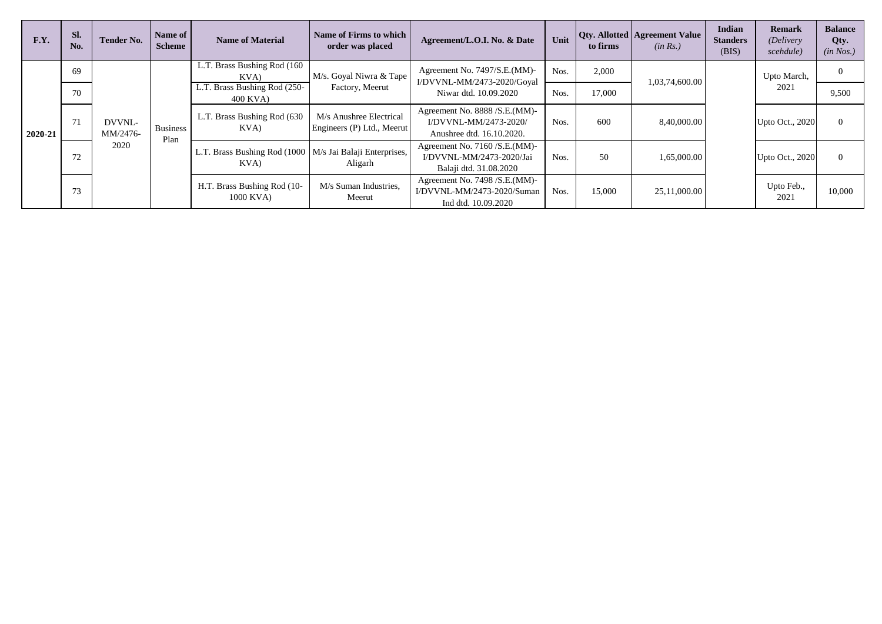| F.Y.    | SI.<br>No. | <b>Tender No.</b>                  | Name of<br><b>Scheme</b> | <b>Name of Material</b>                                            | Name of Firms to which I<br>order was placed          | Agreement/L.O.I. No. & Date                                                           | Unit | to firms | Qty. Allotted   Agreement Value<br>(in Rs.) | Indian<br><b>Standers</b><br>(BIS) | <b>Remark</b><br><i>(Delivery)</i><br>scehdule) | <b>Balance</b><br>Qty.<br>(in Nos.) |
|---------|------------|------------------------------------|--------------------------|--------------------------------------------------------------------|-------------------------------------------------------|---------------------------------------------------------------------------------------|------|----------|---------------------------------------------|------------------------------------|-------------------------------------------------|-------------------------------------|
| 2020-21 | 69         | DVVNL-<br>MM/2476-<br>Plan<br>2020 |                          | L.T. Brass Bushing Rod (160)<br>KVA)                               | M/s. Goyal Niwra & Tape                               | Agreement No. 7497/S.E.(MM)-<br>I/DVVNL-MM/2473-2020/Goyal<br>Niwar dtd. 10.09.2020   | Nos. | 2,000    | 1,03,74,600.00                              |                                    | Upto March,                                     | $\Omega$                            |
|         | 70         |                                    | <b>Business</b>          | L.T. Brass Bushing Rod (250-<br>400 KVA)                           | Factory, Meerut                                       |                                                                                       | Nos. | 17,000   |                                             |                                    | 2021                                            | 9,500                               |
|         | 71         |                                    |                          | L.T. Brass Bushing Rod (630)<br>KVA)                               | M/s Anushree Electrical<br>Engineers (P) Ltd., Meerut | Agreement No. 8888 / S.E. (MM)-<br>I/DVVNL-MM/2473-2020/<br>Anushree dtd. 16.10.2020. | Nos. | 600      | 8,40,000.00                                 |                                    | Upto Oct., 2020                                 | $\Omega$                            |
|         | 72         |                                    |                          | L.T. Brass Bushing Rod (1000   M/s Jai Balaji Enterprises,<br>KVA) | Aligarh                                               | Agreement No. 7160 / S.E. (MM)-<br>I/DVVNL-MM/2473-2020/Jai<br>Balaji dtd. 31.08.2020 | Nos. | 50       | 1,65,000.00                                 |                                    | Upto Oct., 2020                                 | $\Omega$                            |
|         | 73         |                                    |                          | H.T. Brass Bushing Rod (10-<br>1000 KVA)                           | M/s Suman Industries,<br>Meerut                       | Agreement No. 7498 / S.E. (MM)-<br>I/DVVNL-MM/2473-2020/Suman<br>Ind dtd. 10.09.2020  | Nos. | 15,000   | 25,11,000.00                                |                                    | Upto Feb.,<br>2021                              | 10,000                              |